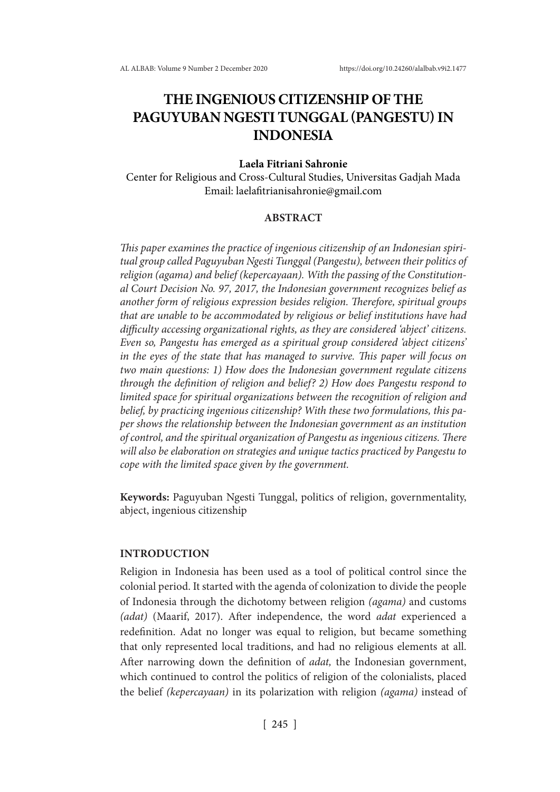# **THE INGENIOUS CITIZENSHIP OF THE PAGUYUBAN NGESTI TUNGGAL (PANGESTU) IN INDONESIA**

## **Laela Fitriani Sahronie**

Center for Religious and Cross-Cultural Studies, Universitas Gadjah Mada Email: laelafitrianisahronie@gmail.com

## **ABSTRACT**

*This paper examines the practice of ingenious citizenship of an Indonesian spiritual group called Paguyuban Ngesti Tunggal (Pangestu), between their politics of religion (agama) and belief (kepercayaan). With the passing of the Constitutional Court Decision No. 97, 2017, the Indonesian government recognizes belief as another form of religious expression besides religion. Therefore, spiritual groups that are unable to be accommodated by religious or belief institutions have had difficulty accessing organizational rights, as they are considered 'abject' citizens. Even so, Pangestu has emerged as a spiritual group considered 'abject citizens' in the eyes of the state that has managed to survive. This paper will focus on two main questions: 1) How does the Indonesian government regulate citizens through the definition of religion and belief? 2) How does Pangestu respond to limited space for spiritual organizations between the recognition of religion and belief, by practicing ingenious citizenship? With these two formulations, this paper shows the relationship between the Indonesian government as an institution of control, and the spiritual organization of Pangestu as ingenious citizens. There will also be elaboration on strategies and unique tactics practiced by Pangestu to cope with the limited space given by the government.*

**Keywords:** Paguyuban Ngesti Tunggal, politics of religion, governmentality, abject, ingenious citizenship

#### **INTRODUCTION**

Religion in Indonesia has been used as a tool of political control since the colonial period. It started with the agenda of colonization to divide the people of Indonesia through the dichotomy between religion *(agama)* and customs *(adat)* (Maarif, 2017). After independence, the word *adat* experienced a redefinition. Adat no longer was equal to religion, but became something that only represented local traditions, and had no religious elements at all. After narrowing down the definition of *adat,* the Indonesian government, which continued to control the politics of religion of the colonialists, placed the belief *(kepercayaan)* in its polarization with religion *(agama)* instead of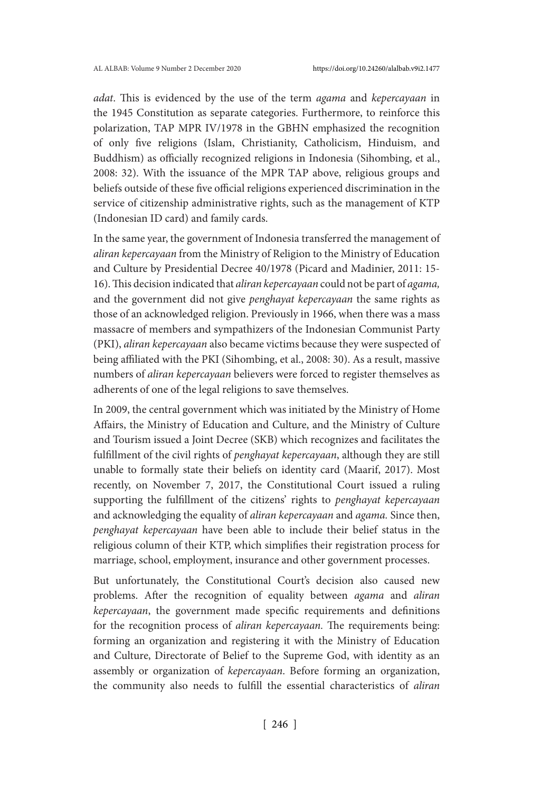*adat*. This is evidenced by the use of the term *agama* and *kepercayaan* in the 1945 Constitution as separate categories. Furthermore, to reinforce this polarization, TAP MPR IV/1978 in the GBHN emphasized the recognition of only five religions (Islam, Christianity, Catholicism, Hinduism, and Buddhism) as officially recognized religions in Indonesia (Sihombing, et al., 2008: 32). With the issuance of the MPR TAP above, religious groups and beliefs outside of these five official religions experienced discrimination in the service of citizenship administrative rights, such as the management of KTP (Indonesian ID card) and family cards.

In the same year, the government of Indonesia transferred the management of *aliran kepercayaan* from the Ministry of Religion to the Ministry of Education and Culture by Presidential Decree 40/1978 (Picard and Madinier, 2011: 15- 16). This decision indicated that *aliran kepercayaan* could not be part of *agama,* and the government did not give *penghayat kepercayaan* the same rights as those of an acknowledged religion. Previously in 1966, when there was a mass massacre of members and sympathizers of the Indonesian Communist Party (PKI), *aliran kepercayaan* also became victims because they were suspected of being affiliated with the PKI (Sihombing, et al., 2008: 30). As a result, massive numbers of *aliran kepercayaan* believers were forced to register themselves as adherents of one of the legal religions to save themselves.

In 2009, the central government which was initiated by the Ministry of Home Affairs, the Ministry of Education and Culture, and the Ministry of Culture and Tourism issued a Joint Decree (SKB) which recognizes and facilitates the fulfillment of the civil rights of *penghayat kepercayaan*, although they are still unable to formally state their beliefs on identity card (Maarif, 2017). Most recently, on November 7, 2017, the Constitutional Court issued a ruling supporting the fulfillment of the citizens' rights to *penghayat kepercayaan*  and acknowledging the equality of *aliran kepercayaan* and *agama.* Since then, *penghayat kepercayaan* have been able to include their belief status in the religious column of their KTP, which simplifies their registration process for marriage, school, employment, insurance and other government processes.

But unfortunately, the Constitutional Court's decision also caused new problems. After the recognition of equality between *agama* and *aliran kepercayaan*, the government made specific requirements and definitions for the recognition process of *aliran kepercayaan.* The requirements being: forming an organization and registering it with the Ministry of Education and Culture, Directorate of Belief to the Supreme God, with identity as an assembly or organization of *kepercayaan*. Before forming an organization, the community also needs to fulfill the essential characteristics of *aliran*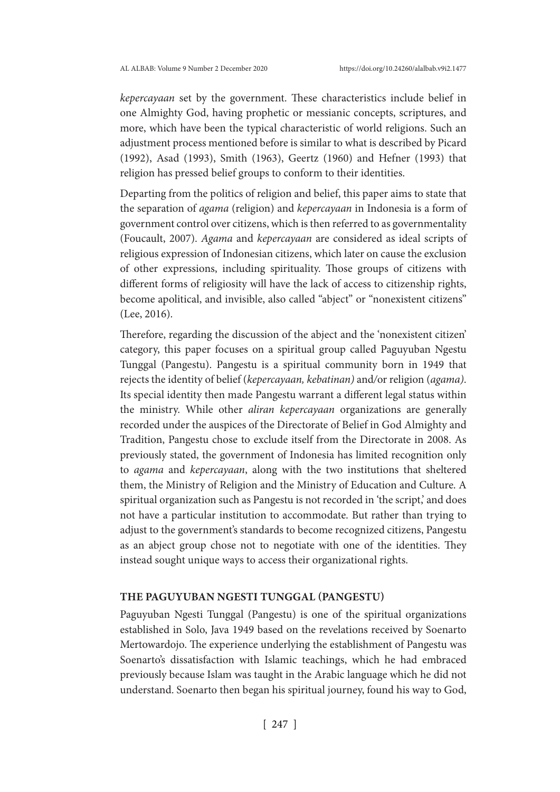*kepercayaan* set by the government. These characteristics include belief in one Almighty God, having prophetic or messianic concepts, scriptures, and more, which have been the typical characteristic of world religions. Such an adjustment process mentioned before is similar to what is described by Picard (1992), Asad (1993), Smith (1963), Geertz (1960) and Hefner (1993) that religion has pressed belief groups to conform to their identities.

Departing from the politics of religion and belief, this paper aims to state that the separation of *agama* (religion) and *kepercayaan* in Indonesia is a form of government control over citizens, which is then referred to as governmentality (Foucault, 2007). *Agama* and *kepercayaan* are considered as ideal scripts of religious expression of Indonesian citizens, which later on cause the exclusion of other expressions, including spirituality. Those groups of citizens with different forms of religiosity will have the lack of access to citizenship rights, become apolitical, and invisible, also called "abject" or "nonexistent citizens" (Lee, 2016).

Therefore, regarding the discussion of the abject and the 'nonexistent citizen' category, this paper focuses on a spiritual group called Paguyuban Ngestu Tunggal (Pangestu). Pangestu is a spiritual community born in 1949 that rejects the identity of belief (*kepercayaan, kebatinan)* and*/*or religion (*agama)*. Its special identity then made Pangestu warrant a different legal status within the ministry. While other *aliran kepercayaan* organizations are generally recorded under the auspices of the Directorate of Belief in God Almighty and Tradition, Pangestu chose to exclude itself from the Directorate in 2008. As previously stated, the government of Indonesia has limited recognition only to *agama* and *kepercayaan*, along with the two institutions that sheltered them, the Ministry of Religion and the Ministry of Education and Culture. A spiritual organization such as Pangestu is not recorded in 'the script,' and does not have a particular institution to accommodate. But rather than trying to adjust to the government's standards to become recognized citizens, Pangestu as an abject group chose not to negotiate with one of the identities. They instead sought unique ways to access their organizational rights.

## **THE PAGUYUBAN NGESTI TUNGGAL (PANGESTU)**

Paguyuban Ngesti Tunggal (Pangestu) is one of the spiritual organizations established in Solo, Java 1949 based on the revelations received by Soenarto Mertowardojo. The experience underlying the establishment of Pangestu was Soenarto's dissatisfaction with Islamic teachings, which he had embraced previously because Islam was taught in the Arabic language which he did not understand. Soenarto then began his spiritual journey, found his way to God,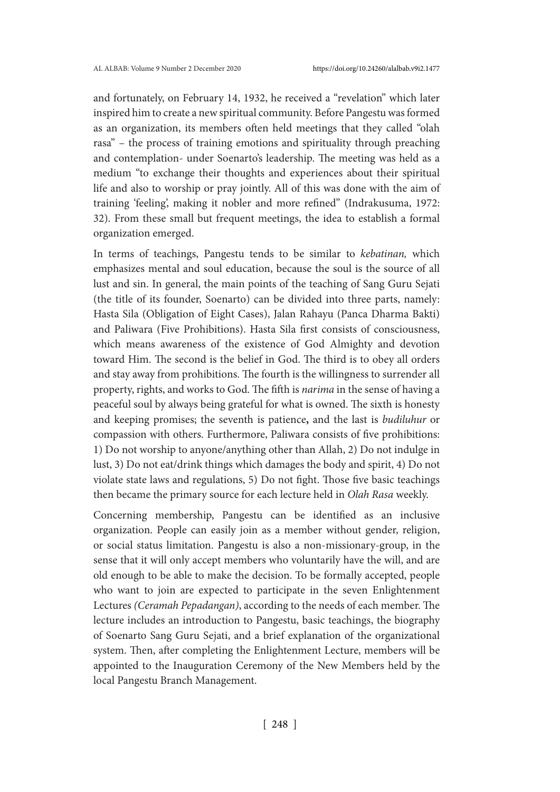and fortunately, on February 14, 1932, he received a "revelation" which later inspired him to create a new spiritual community. Before Pangestu was formed as an organization, its members often held meetings that they called "olah rasa" – the process of training emotions and spirituality through preaching and contemplation- under Soenarto's leadership. The meeting was held as a medium "to exchange their thoughts and experiences about their spiritual life and also to worship or pray jointly. All of this was done with the aim of training 'feeling', making it nobler and more refined" (Indrakusuma, 1972: 32). From these small but frequent meetings, the idea to establish a formal organization emerged.

In terms of teachings, Pangestu tends to be similar to *kebatinan,* which emphasizes mental and soul education, because the soul is the source of all lust and sin. In general, the main points of the teaching of Sang Guru Sejati (the title of its founder, Soenarto) can be divided into three parts, namely: Hasta Sila (Obligation of Eight Cases), Jalan Rahayu (Panca Dharma Bakti) and Paliwara (Five Prohibitions). Hasta Sila first consists of consciousness, which means awareness of the existence of God Almighty and devotion toward Him. The second is the belief in God. The third is to obey all orders and stay away from prohibitions. The fourth is the willingness to surrender all property, rights, and works to God. The fifth is *narima* in the sense of having a peaceful soul by always being grateful for what is owned. The sixth is honesty and keeping promises; the seventh is patience**,** and the last is *budiluhur* or compassion with others. Furthermore, Paliwara consists of five prohibitions: 1) Do not worship to anyone/anything other than Allah, 2) Do not indulge in lust, 3) Do not eat/drink things which damages the body and spirit, 4) Do not violate state laws and regulations, 5) Do not fight. Those five basic teachings then became the primary source for each lecture held in *Olah Rasa* weekly.

Concerning membership, Pangestu can be identified as an inclusive organization. People can easily join as a member without gender, religion, or social status limitation. Pangestu is also a non-missionary-group, in the sense that it will only accept members who voluntarily have the will, and are old enough to be able to make the decision. To be formally accepted, people who want to join are expected to participate in the seven Enlightenment Lectures *(Ceramah Pepadangan)*, according to the needs of each member. The lecture includes an introduction to Pangestu, basic teachings, the biography of Soenarto Sang Guru Sejati, and a brief explanation of the organizational system. Then, after completing the Enlightenment Lecture, members will be appointed to the Inauguration Ceremony of the New Members held by the local Pangestu Branch Management.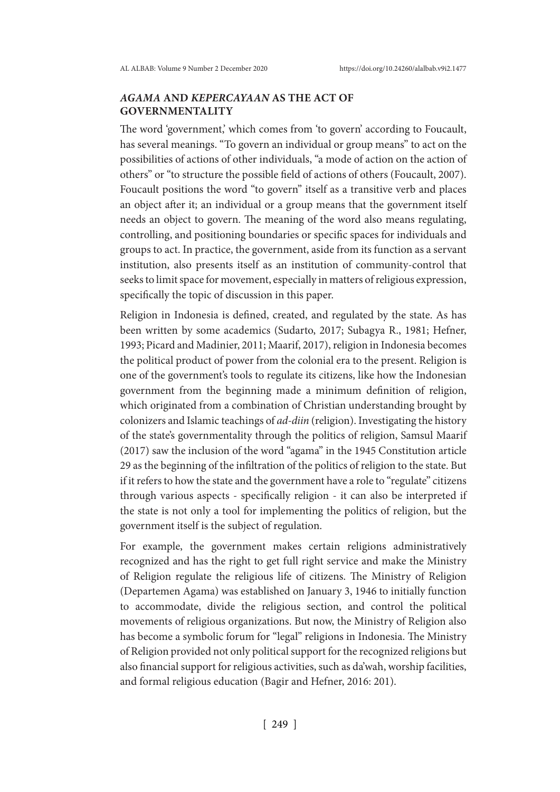# *AGAMA* **AND** *KEPERCAYAAN* **AS THE ACT OF GOVERNMENTALITY**

The word 'government,' which comes from 'to govern' according to Foucault, has several meanings. "To govern an individual or group means" to act on the possibilities of actions of other individuals, "a mode of action on the action of others" or "to structure the possible field of actions of others (Foucault, 2007). Foucault positions the word "to govern" itself as a transitive verb and places an object after it; an individual or a group means that the government itself needs an object to govern. The meaning of the word also means regulating, controlling, and positioning boundaries or specific spaces for individuals and groups to act. In practice, the government, aside from its function as a servant institution, also presents itself as an institution of community-control that seeks to limit space for movement, especially in matters of religious expression, specifically the topic of discussion in this paper.

Religion in Indonesia is defined, created, and regulated by the state. As has been written by some academics (Sudarto, 2017; Subagya R., 1981; Hefner, 1993; Picard and Madinier, 2011; Maarif, 2017), religion in Indonesia becomes the political product of power from the colonial era to the present. Religion is one of the government's tools to regulate its citizens, like how the Indonesian government from the beginning made a minimum definition of religion, which originated from a combination of Christian understanding brought by colonizers and Islamic teachings of *ad-diin* (religion). Investigating the history of the state's governmentality through the politics of religion, Samsul Maarif (2017) saw the inclusion of the word "agama" in the 1945 Constitution article 29 as the beginning of the infiltration of the politics of religion to the state. But if it refers to how the state and the government have a role to "regulate" citizens through various aspects - specifically religion - it can also be interpreted if the state is not only a tool for implementing the politics of religion, but the government itself is the subject of regulation.

For example, the government makes certain religions administratively recognized and has the right to get full right service and make the Ministry of Religion regulate the religious life of citizens. The Ministry of Religion (Departemen Agama) was established on January 3, 1946 to initially function to accommodate, divide the religious section, and control the political movements of religious organizations. But now, the Ministry of Religion also has become a symbolic forum for "legal" religions in Indonesia. The Ministry of Religion provided not only political support for the recognized religions but also financial support for religious activities, such as da'wah, worship facilities, and formal religious education (Bagir and Hefner, 2016: 201).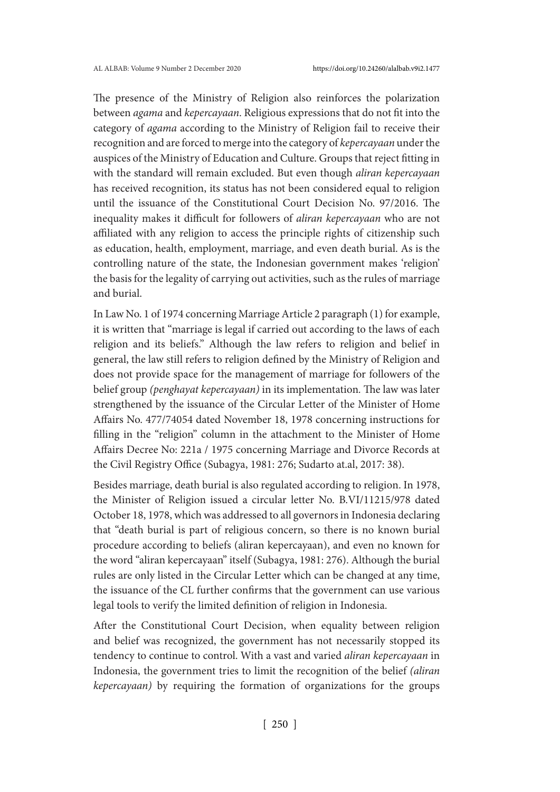The presence of the Ministry of Religion also reinforces the polarization between *agama* and *kepercayaan*. Religious expressions that do not fit into the category of *agama* according to the Ministry of Religion fail to receive their recognition and are forced to merge into the category of *kepercayaan* under the auspices of the Ministry of Education and Culture. Groups that reject fitting in with the standard will remain excluded. But even though *aliran kepercayaan* has received recognition, its status has not been considered equal to religion until the issuance of the Constitutional Court Decision No. 97/2016. The inequality makes it difficult for followers of *aliran kepercayaan* who are not affiliated with any religion to access the principle rights of citizenship such as education, health, employment, marriage, and even death burial. As is the controlling nature of the state, the Indonesian government makes 'religion' the basis for the legality of carrying out activities, such as the rules of marriage and burial.

In Law No. 1 of 1974 concerning Marriage Article 2 paragraph (1) for example, it is written that "marriage is legal if carried out according to the laws of each religion and its beliefs." Although the law refers to religion and belief in general, the law still refers to religion defined by the Ministry of Religion and does not provide space for the management of marriage for followers of the belief group *(penghayat kepercayaan)* in its implementation*.* The law was later strengthened by the issuance of the Circular Letter of the Minister of Home Affairs No. 477/74054 dated November 18, 1978 concerning instructions for filling in the "religion" column in the attachment to the Minister of Home Affairs Decree No: 221a / 1975 concerning Marriage and Divorce Records at the Civil Registry Office (Subagya, 1981: 276; Sudarto at.al, 2017: 38).

Besides marriage, death burial is also regulated according to religion. In 1978, the Minister of Religion issued a circular letter No. B.VI/11215/978 dated October 18, 1978, which was addressed to all governors in Indonesia declaring that "death burial is part of religious concern, so there is no known burial procedure according to beliefs (aliran kepercayaan), and even no known for the word "aliran kepercayaan" itself (Subagya, 1981: 276). Although the burial rules are only listed in the Circular Letter which can be changed at any time, the issuance of the CL further confirms that the government can use various legal tools to verify the limited definition of religion in Indonesia.

After the Constitutional Court Decision, when equality between religion and belief was recognized, the government has not necessarily stopped its tendency to continue to control. With a vast and varied *aliran kepercayaan* in Indonesia, the government tries to limit the recognition of the belief *(aliran kepercayaan)* by requiring the formation of organizations for the groups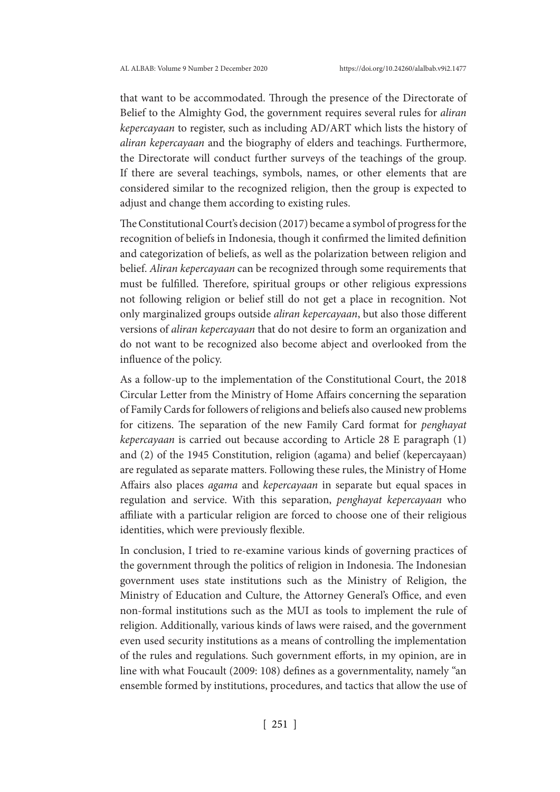that want to be accommodated. Through the presence of the Directorate of Belief to the Almighty God, the government requires several rules for *aliran kepercayaan* to register, such as including AD/ART which lists the history of *aliran kepercayaan* and the biography of elders and teachings. Furthermore, the Directorate will conduct further surveys of the teachings of the group. If there are several teachings, symbols, names, or other elements that are considered similar to the recognized religion, then the group is expected to adjust and change them according to existing rules.

The Constitutional Court's decision (2017) became a symbol of progress for the recognition of beliefs in Indonesia, though it confirmed the limited definition and categorization of beliefs, as well as the polarization between religion and belief. *Aliran kepercayaan* can be recognized through some requirements that must be fulfilled. Therefore, spiritual groups or other religious expressions not following religion or belief still do not get a place in recognition. Not only marginalized groups outside *aliran kepercayaan*, but also those different versions of *aliran kepercayaan* that do not desire to form an organization and do not want to be recognized also become abject and overlooked from the influence of the policy.

As a follow-up to the implementation of the Constitutional Court, the 2018 Circular Letter from the Ministry of Home Affairs concerning the separation of Family Cards for followers of religions and beliefs also caused new problems for citizens. The separation of the new Family Card format for *penghayat kepercayaan* is carried out because according to Article 28 E paragraph (1) and (2) of the 1945 Constitution, religion (agama) and belief (kepercayaan) are regulated as separate matters. Following these rules, the Ministry of Home Affairs also places *agama* and *kepercayaan* in separate but equal spaces in regulation and service. With this separation, *penghayat kepercayaan* who affiliate with a particular religion are forced to choose one of their religious identities, which were previously flexible.

In conclusion, I tried to re-examine various kinds of governing practices of the government through the politics of religion in Indonesia. The Indonesian government uses state institutions such as the Ministry of Religion, the Ministry of Education and Culture, the Attorney General's Office, and even non-formal institutions such as the MUI as tools to implement the rule of religion. Additionally, various kinds of laws were raised, and the government even used security institutions as a means of controlling the implementation of the rules and regulations. Such government efforts, in my opinion, are in line with what Foucault (2009: 108) defines as a governmentality, namely "an ensemble formed by institutions, procedures, and tactics that allow the use of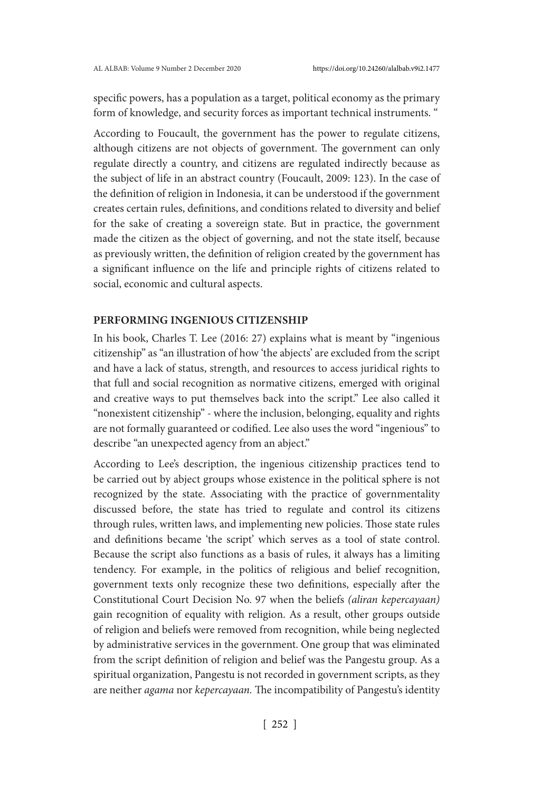specific powers, has a population as a target, political economy as the primary form of knowledge, and security forces as important technical instruments. "

According to Foucault, the government has the power to regulate citizens, although citizens are not objects of government. The government can only regulate directly a country, and citizens are regulated indirectly because as the subject of life in an abstract country (Foucault, 2009: 123). In the case of the definition of religion in Indonesia, it can be understood if the government creates certain rules, definitions, and conditions related to diversity and belief for the sake of creating a sovereign state. But in practice, the government made the citizen as the object of governing, and not the state itself, because as previously written, the definition of religion created by the government has a significant influence on the life and principle rights of citizens related to social, economic and cultural aspects.

# **PERFORMING INGENIOUS CITIZENSHIP**

In his book, Charles T. Lee (2016: 27) explains what is meant by "ingenious citizenship" as "an illustration of how 'the abjects' are excluded from the script and have a lack of status, strength, and resources to access juridical rights to that full and social recognition as normative citizens, emerged with original and creative ways to put themselves back into the script." Lee also called it "nonexistent citizenship" - where the inclusion, belonging, equality and rights are not formally guaranteed or codified. Lee also uses the word "ingenious" to describe "an unexpected agency from an abject."

According to Lee's description, the ingenious citizenship practices tend to be carried out by abject groups whose existence in the political sphere is not recognized by the state. Associating with the practice of governmentality discussed before, the state has tried to regulate and control its citizens through rules, written laws, and implementing new policies. Those state rules and definitions became 'the script' which serves as a tool of state control. Because the script also functions as a basis of rules, it always has a limiting tendency. For example, in the politics of religious and belief recognition, government texts only recognize these two definitions, especially after the Constitutional Court Decision No. 97 when the beliefs *(aliran kepercayaan)* gain recognition of equality with religion. As a result, other groups outside of religion and beliefs were removed from recognition, while being neglected by administrative services in the government. One group that was eliminated from the script definition of religion and belief was the Pangestu group. As a spiritual organization, Pangestu is not recorded in government scripts, as they are neither *agama* nor *kepercayaan.* The incompatibility of Pangestu's identity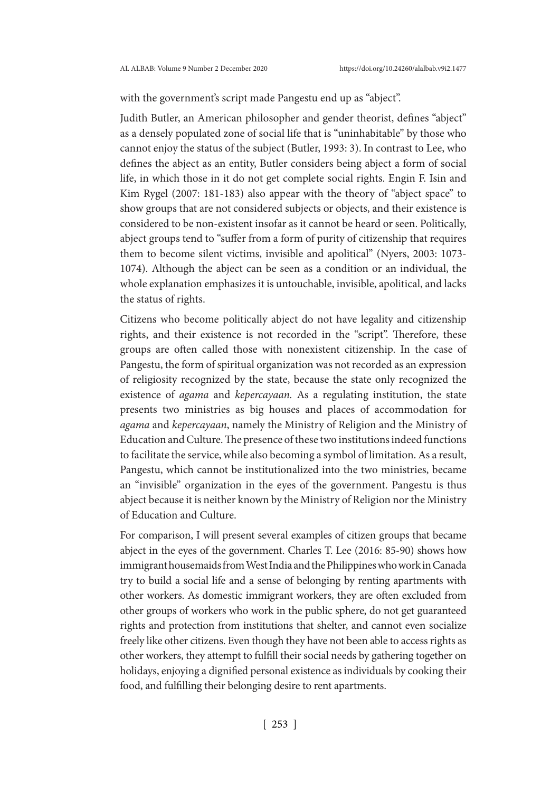with the government's script made Pangestu end up as "abject".

Judith Butler, an American philosopher and gender theorist, defines "abject" as a densely populated zone of social life that is "uninhabitable" by those who cannot enjoy the status of the subject (Butler, 1993: 3). In contrast to Lee, who defines the abject as an entity, Butler considers being abject a form of social life, in which those in it do not get complete social rights. Engin F. Isin and Kim Rygel (2007: 181-183) also appear with the theory of "abject space" to show groups that are not considered subjects or objects, and their existence is considered to be non-existent insofar as it cannot be heard or seen. Politically, abject groups tend to "suffer from a form of purity of citizenship that requires them to become silent victims, invisible and apolitical" (Nyers, 2003: 1073- 1074). Although the abject can be seen as a condition or an individual, the whole explanation emphasizes it is untouchable, invisible, apolitical, and lacks the status of rights.

Citizens who become politically abject do not have legality and citizenship rights, and their existence is not recorded in the "script". Therefore, these groups are often called those with nonexistent citizenship. In the case of Pangestu, the form of spiritual organization was not recorded as an expression of religiosity recognized by the state, because the state only recognized the existence of *agama* and *kepercayaan.* As a regulating institution, the state presents two ministries as big houses and places of accommodation for *agama* and *kepercayaan*, namely the Ministry of Religion and the Ministry of Education and Culture. The presence of these two institutions indeed functions to facilitate the service, while also becoming a symbol of limitation. As a result, Pangestu, which cannot be institutionalized into the two ministries, became an "invisible" organization in the eyes of the government. Pangestu is thus abject because it is neither known by the Ministry of Religion nor the Ministry of Education and Culture.

For comparison, I will present several examples of citizen groups that became abject in the eyes of the government. Charles T. Lee (2016: 85-90) shows how immigrant housemaids from West India and the Philippines who work in Canada try to build a social life and a sense of belonging by renting apartments with other workers. As domestic immigrant workers, they are often excluded from other groups of workers who work in the public sphere, do not get guaranteed rights and protection from institutions that shelter, and cannot even socialize freely like other citizens. Even though they have not been able to access rights as other workers, they attempt to fulfill their social needs by gathering together on holidays, enjoying a dignified personal existence as individuals by cooking their food, and fulfilling their belonging desire to rent apartments.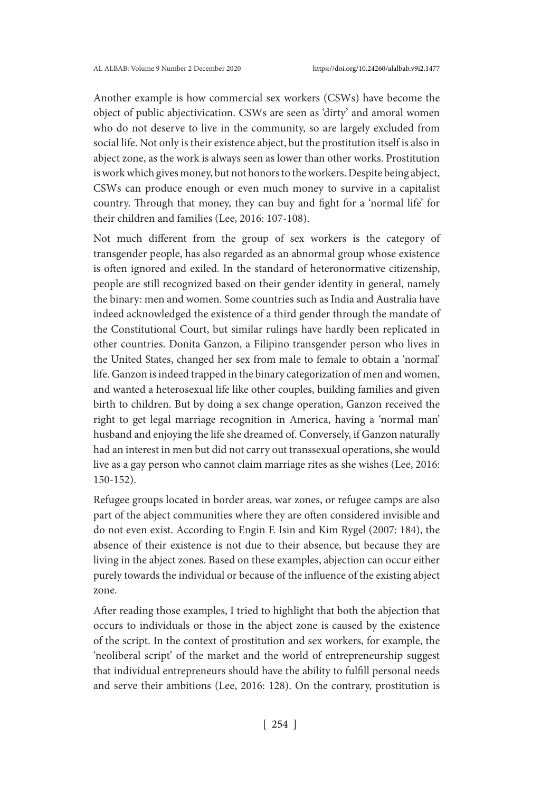Another example is how commercial sex workers (CSWs) have become the object of public abjectivication. CSWs are seen as 'dirty' and amoral women who do not deserve to live in the community, so are largely excluded from social life. Not only is their existence abject, but the prostitution itself is also in abject zone, as the work is always seen as lower than other works. Prostitution is work which gives money, but not honors to the workers. Despite being abject, CSWs can produce enough or even much money to survive in a capitalist country. Through that money, they can buy and fight for a 'normal life' for their children and families (Lee, 2016: 107-108).

Not much different from the group of sex workers is the category of transgender people, has also regarded as an abnormal group whose existence is often ignored and exiled. In the standard of heteronormative citizenship, people are still recognized based on their gender identity in general, namely the binary: men and women. Some countries such as India and Australia have indeed acknowledged the existence of a third gender through the mandate of the Constitutional Court, but similar rulings have hardly been replicated in other countries. Donita Ganzon, a Filipino transgender person who lives in the United States, changed her sex from male to female to obtain a 'normal' life. Ganzon is indeed trapped in the binary categorization of men and women, and wanted a heterosexual life like other couples, building families and given birth to children. But by doing a sex change operation, Ganzon received the right to get legal marriage recognition in America, having a 'normal man' husband and enjoying the life she dreamed of. Conversely, if Ganzon naturally had an interest in men but did not carry out transsexual operations, she would live as a gay person who cannot claim marriage rites as she wishes (Lee, 2016: 150-152).

Refugee groups located in border areas, war zones, or refugee camps are also part of the abject communities where they are often considered invisible and do not even exist. According to Engin F. Isin and Kim Rygel (2007: 184), the absence of their existence is not due to their absence, but because they are living in the abject zones. Based on these examples, abjection can occur either purely towards the individual or because of the influence of the existing abject zone.

After reading those examples, I tried to highlight that both the abjection that occurs to individuals or those in the abject zone is caused by the existence of the script. In the context of prostitution and sex workers, for example, the 'neoliberal script' of the market and the world of entrepreneurship suggest that individual entrepreneurs should have the ability to fulfill personal needs and serve their ambitions (Lee, 2016: 128). On the contrary, prostitution is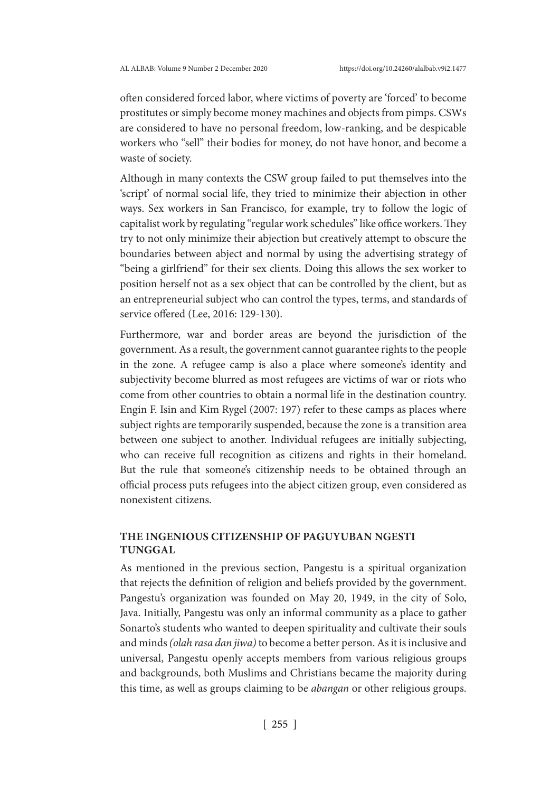often considered forced labor, where victims of poverty are 'forced' to become prostitutes or simply become money machines and objects from pimps. CSWs are considered to have no personal freedom, low-ranking, and be despicable workers who "sell" their bodies for money, do not have honor, and become a waste of society.

Although in many contexts the CSW group failed to put themselves into the 'script' of normal social life, they tried to minimize their abjection in other ways. Sex workers in San Francisco, for example, try to follow the logic of capitalist work by regulating "regular work schedules" like office workers. They try to not only minimize their abjection but creatively attempt to obscure the boundaries between abject and normal by using the advertising strategy of "being a girlfriend" for their sex clients. Doing this allows the sex worker to position herself not as a sex object that can be controlled by the client, but as an entrepreneurial subject who can control the types, terms, and standards of service offered (Lee, 2016: 129-130).

Furthermore, war and border areas are beyond the jurisdiction of the government. As a result, the government cannot guarantee rights to the people in the zone. A refugee camp is also a place where someone's identity and subjectivity become blurred as most refugees are victims of war or riots who come from other countries to obtain a normal life in the destination country. Engin F. Isin and Kim Rygel (2007: 197) refer to these camps as places where subject rights are temporarily suspended, because the zone is a transition area between one subject to another. Individual refugees are initially subjecting, who can receive full recognition as citizens and rights in their homeland. But the rule that someone's citizenship needs to be obtained through an official process puts refugees into the abject citizen group, even considered as nonexistent citizens.

# **THE INGENIOUS CITIZENSHIP OF PAGUYUBAN NGESTI TUNGGAL**

As mentioned in the previous section, Pangestu is a spiritual organization that rejects the definition of religion and beliefs provided by the government. Pangestu's organization was founded on May 20, 1949, in the city of Solo, Java. Initially, Pangestu was only an informal community as a place to gather Sonarto's students who wanted to deepen spirituality and cultivate their souls and minds *(olah rasa dan jiwa)* to become a better person. As it is inclusive and universal, Pangestu openly accepts members from various religious groups and backgrounds, both Muslims and Christians became the majority during this time, as well as groups claiming to be *abangan* or other religious groups.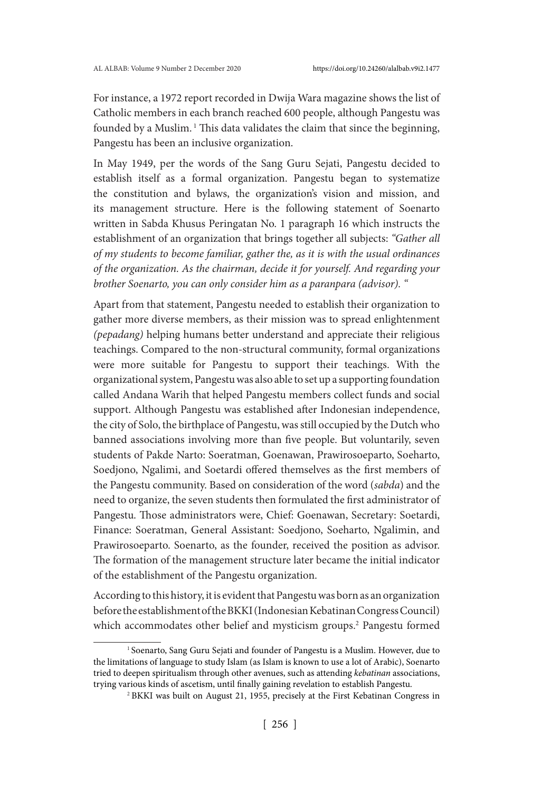For instance, a 1972 report recorded in Dwija Wara magazine shows the list of Catholic members in each branch reached 600 people, although Pangestu was founded by a Muslim.<sup>1</sup> This data validates the claim that since the beginning, Pangestu has been an inclusive organization.

In May 1949, per the words of the Sang Guru Sejati, Pangestu decided to establish itself as a formal organization. Pangestu began to systematize the constitution and bylaws, the organization's vision and mission, and its management structure. Here is the following statement of Soenarto written in Sabda Khusus Peringatan No. 1 paragraph 16 which instructs the establishment of an organization that brings together all subjects: *"Gather all of my students to become familiar, gather the, as it is with the usual ordinances of the organization. As the chairman, decide it for yourself. And regarding your brother Soenarto, you can only consider him as a paranpara (advisor). "*

Apart from that statement, Pangestu needed to establish their organization to gather more diverse members, as their mission was to spread enlightenment *(pepadang)* helping humans better understand and appreciate their religious teachings. Compared to the non-structural community, formal organizations were more suitable for Pangestu to support their teachings. With the organizational system, Pangestu was also able to set up a supporting foundation called Andana Warih that helped Pangestu members collect funds and social support. Although Pangestu was established after Indonesian independence, the city of Solo, the birthplace of Pangestu, was still occupied by the Dutch who banned associations involving more than five people. But voluntarily, seven students of Pakde Narto: Soeratman, Goenawan, Prawirosoeparto, Soeharto, Soedjono, Ngalimi, and Soetardi offered themselves as the first members of the Pangestu community. Based on consideration of the word (*sabda*) and the need to organize, the seven students then formulated the first administrator of Pangestu. Those administrators were, Chief: Goenawan, Secretary: Soetardi, Finance: Soeratman, General Assistant: Soedjono, Soeharto, Ngalimin, and Prawirosoeparto. Soenarto, as the founder, received the position as advisor. The formation of the management structure later became the initial indicator of the establishment of the Pangestu organization.

According to this history, it is evident that Pangestu was born as an organization before the establishment of the BKKI (Indonesian Kebatinan Congress Council) which accommodates other belief and mysticism groups.<sup>2</sup> Pangestu formed

<sup>&</sup>lt;sup>1</sup> Soenarto, Sang Guru Sejati and founder of Pangestu is a Muslim. However, due to the limitations of language to study Islam (as Islam is known to use a lot of Arabic), Soenarto tried to deepen spiritualism through other avenues, such as attending *kebatinan* associations, trying various kinds of ascetism, until finally gaining revelation to establish Pangestu.

<sup>2</sup> BKKI was built on August 21, 1955, precisely at the First Kebatinan Congress in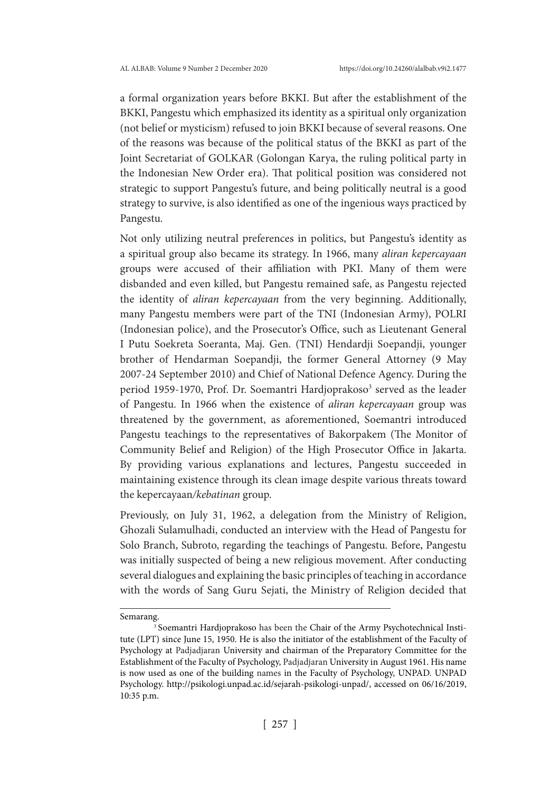a formal organization years before BKKI. But after the establishment of the BKKI, Pangestu which emphasized its identity as a spiritual only organization (not belief or mysticism) refused to join BKKI because of several reasons. One of the reasons was because of the political status of the BKKI as part of the Joint Secretariat of GOLKAR (Golongan Karya, the ruling political party in the Indonesian New Order era). That political position was considered not strategic to support Pangestu's future, and being politically neutral is a good strategy to survive, is also identified as one of the ingenious ways practiced by Pangestu.

Not only utilizing neutral preferences in politics, but Pangestu's identity as a spiritual group also became its strategy. In 1966, many *aliran kepercayaan*  groups were accused of their affiliation with PKI. Many of them were disbanded and even killed, but Pangestu remained safe, as Pangestu rejected the identity of *aliran kepercayaan* from the very beginning. Additionally, many Pangestu members were part of the TNI (Indonesian Army), POLRI (Indonesian police), and the Prosecutor's Office, such as Lieutenant General I Putu Soekreta Soeranta, Maj. Gen. (TNI) Hendardji Soepandji, younger brother of Hendarman Soepandji, the former General Attorney (9 May 2007-24 September 2010) and Chief of National Defence Agency. During the period 1959-1970, Prof. Dr. Soemantri Hardjoprakoso<sup>3</sup> served as the leader of Pangestu. In 1966 when the existence of *aliran kepercayaan* group was threatened by the government, as aforementioned, Soemantri introduced Pangestu teachings to the representatives of Bakorpakem (The Monitor of Community Belief and Religion) of the High Prosecutor Office in Jakarta. By providing various explanations and lectures, Pangestu succeeded in maintaining existence through its clean image despite various threats toward the kepercayaan*/kebatinan* group.

Previously, on July 31, 1962, a delegation from the Ministry of Religion, Ghozali Sulamulhadi, conducted an interview with the Head of Pangestu for Solo Branch, Subroto, regarding the teachings of Pangestu. Before, Pangestu was initially suspected of being a new religious movement. After conducting several dialogues and explaining the basic principles of teaching in accordance with the words of Sang Guru Sejati, the Ministry of Religion decided that

Semarang.

<sup>&</sup>lt;sup>3</sup> Soemantri Hardjoprakoso has been the Chair of the Army Psychotechnical Institute (LPT) since June 15, 1950. He is also the initiator of the establishment of the Faculty of Psychology at Padjadjaran University and chairman of the Preparatory Committee for the Establishment of the Faculty of Psychology, Padjadjaran University in August 1961. His name is now used as one of the building names in the Faculty of Psychology, UNPAD. UNPAD Psychology. http://psikologi.unpad.ac.id/sejarah-psikologi-unpad/, accessed on 06/16/2019, 10:35 p.m.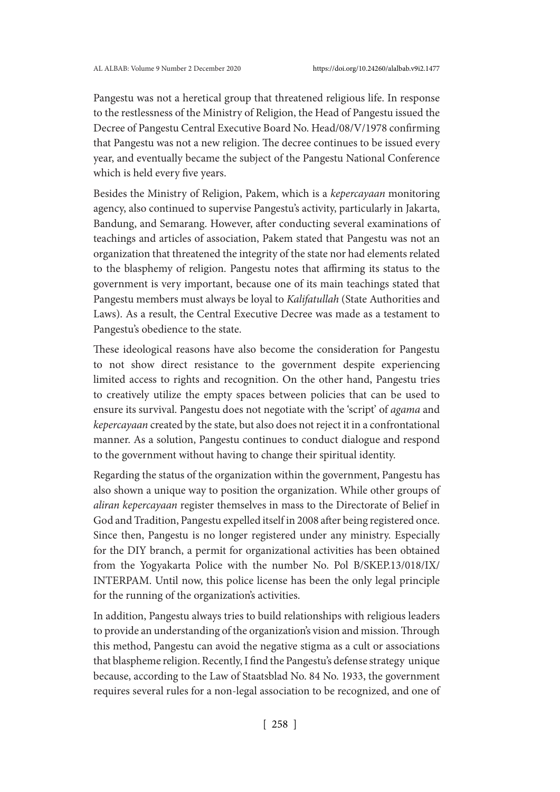Pangestu was not a heretical group that threatened religious life. In response to the restlessness of the Ministry of Religion, the Head of Pangestu issued the Decree of Pangestu Central Executive Board No. Head/08/V/1978 confirming that Pangestu was not a new religion. The decree continues to be issued every year, and eventually became the subject of the Pangestu National Conference which is held every five years.

Besides the Ministry of Religion, Pakem, which is a *kepercayaan* monitoring agency, also continued to supervise Pangestu's activity, particularly in Jakarta, Bandung, and Semarang. However, after conducting several examinations of teachings and articles of association, Pakem stated that Pangestu was not an organization that threatened the integrity of the state nor had elements related to the blasphemy of religion. Pangestu notes that affirming its status to the government is very important, because one of its main teachings stated that Pangestu members must always be loyal to *Kalifatullah* (State Authorities and Laws). As a result, the Central Executive Decree was made as a testament to Pangestu's obedience to the state.

These ideological reasons have also become the consideration for Pangestu to not show direct resistance to the government despite experiencing limited access to rights and recognition. On the other hand, Pangestu tries to creatively utilize the empty spaces between policies that can be used to ensure its survival. Pangestu does not negotiate with the 'script' of *agama* and *kepercayaan* created by the state, but also does not reject it in a confrontational manner. As a solution, Pangestu continues to conduct dialogue and respond to the government without having to change their spiritual identity.

Regarding the status of the organization within the government, Pangestu has also shown a unique way to position the organization. While other groups of *aliran kepercayaan* register themselves in mass to the Directorate of Belief in God and Tradition, Pangestu expelled itself in 2008 after being registered once. Since then, Pangestu is no longer registered under any ministry. Especially for the DIY branch, a permit for organizational activities has been obtained from the Yogyakarta Police with the number No. Pol B/SKEP.13/018/IX/ INTERPAM. Until now, this police license has been the only legal principle for the running of the organization's activities.

In addition, Pangestu always tries to build relationships with religious leaders to provide an understanding of the organization's vision and mission. Through this method, Pangestu can avoid the negative stigma as a cult or associations that blaspheme religion. Recently, I find the Pangestu's defense strategy unique because, according to the Law of Staatsblad No. 84 No. 1933, the government requires several rules for a non-legal association to be recognized, and one of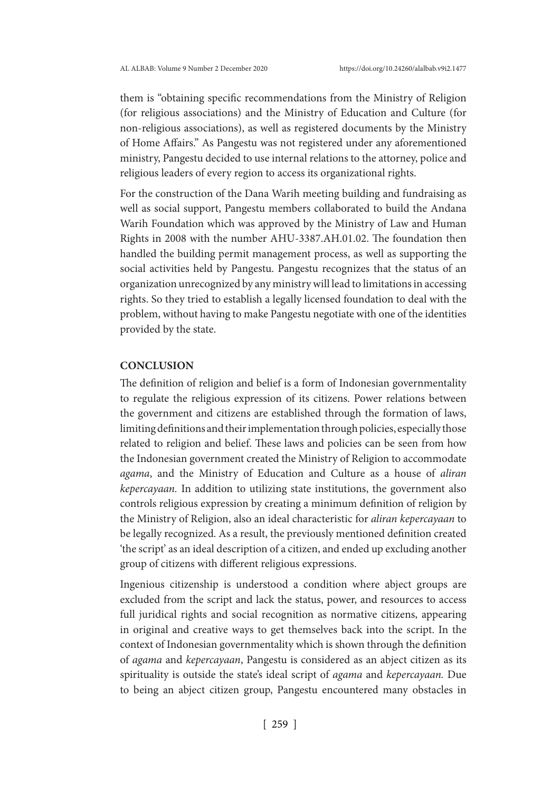them is "obtaining specific recommendations from the Ministry of Religion (for religious associations) and the Ministry of Education and Culture (for non-religious associations), as well as registered documents by the Ministry of Home Affairs." As Pangestu was not registered under any aforementioned ministry, Pangestu decided to use internal relations to the attorney, police and religious leaders of every region to access its organizational rights.

For the construction of the Dana Warih meeting building and fundraising as well as social support, Pangestu members collaborated to build the Andana Warih Foundation which was approved by the Ministry of Law and Human Rights in 2008 with the number AHU-3387.AH.01.02. The foundation then handled the building permit management process, as well as supporting the social activities held by Pangestu. Pangestu recognizes that the status of an organization unrecognized by any ministry will lead to limitations in accessing rights. So they tried to establish a legally licensed foundation to deal with the problem, without having to make Pangestu negotiate with one of the identities provided by the state.

## **CONCLUSION**

The definition of religion and belief is a form of Indonesian governmentality to regulate the religious expression of its citizens. Power relations between the government and citizens are established through the formation of laws, limiting definitions and their implementation through policies, especially those related to religion and belief. These laws and policies can be seen from how the Indonesian government created the Ministry of Religion to accommodate *agama*, and the Ministry of Education and Culture as a house of *aliran kepercayaan.* In addition to utilizing state institutions, the government also controls religious expression by creating a minimum definition of religion by the Ministry of Religion, also an ideal characteristic for *aliran kepercayaan* to be legally recognized. As a result, the previously mentioned definition created 'the script' as an ideal description of a citizen, and ended up excluding another group of citizens with different religious expressions.

Ingenious citizenship is understood a condition where abject groups are excluded from the script and lack the status, power, and resources to access full juridical rights and social recognition as normative citizens, appearing in original and creative ways to get themselves back into the script. In the context of Indonesian governmentality which is shown through the definition of *agama* and *kepercayaan*, Pangestu is considered as an abject citizen as its spirituality is outside the state's ideal script of *agama* and *kepercayaan.* Due to being an abject citizen group, Pangestu encountered many obstacles in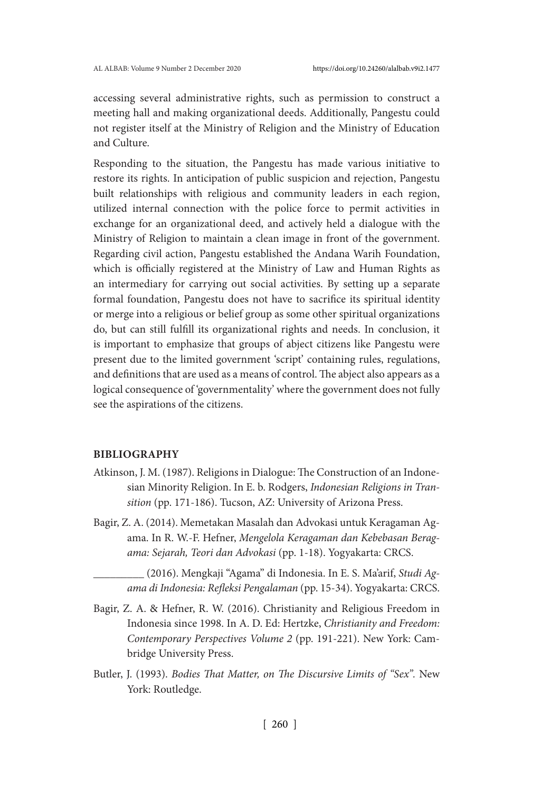accessing several administrative rights, such as permission to construct a meeting hall and making organizational deeds. Additionally, Pangestu could not register itself at the Ministry of Religion and the Ministry of Education and Culture.

Responding to the situation, the Pangestu has made various initiative to restore its rights. In anticipation of public suspicion and rejection, Pangestu built relationships with religious and community leaders in each region, utilized internal connection with the police force to permit activities in exchange for an organizational deed, and actively held a dialogue with the Ministry of Religion to maintain a clean image in front of the government. Regarding civil action, Pangestu established the Andana Warih Foundation, which is officially registered at the Ministry of Law and Human Rights as an intermediary for carrying out social activities. By setting up a separate formal foundation, Pangestu does not have to sacrifice its spiritual identity or merge into a religious or belief group as some other spiritual organizations do, but can still fulfill its organizational rights and needs. In conclusion, it is important to emphasize that groups of abject citizens like Pangestu were present due to the limited government 'script' containing rules, regulations, and definitions that are used as a means of control. The abject also appears as a logical consequence of 'governmentality' where the government does not fully see the aspirations of the citizens.

#### **BIBLIOGRAPHY**

- Atkinson, J. M. (1987). Religions in Dialogue: The Construction of an Indonesian Minority Religion. In E. b. Rodgers, *Indonesian Religions in Transition* (pp. 171-186). Tucson, AZ: University of Arizona Press.
- Bagir, Z. A. (2014). Memetakan Masalah dan Advokasi untuk Keragaman Agama. In R. W.-F. Hefner, *Mengelola Keragaman dan Kebebasan Beragama: Sejarah, Teori dan Advokasi* (pp. 1-18). Yogyakarta: CRCS.

\_\_\_\_\_\_\_\_\_ (2016). Mengkaji "Agama" di Indonesia. In E. S. Ma'arif, *Studi Agama di Indonesia: Refleksi Pengalaman* (pp. 15-34). Yogyakarta: CRCS.

- Bagir, Z. A. & Hefner, R. W. (2016). Christianity and Religious Freedom in Indonesia since 1998. In A. D. Ed: Hertzke, *Christianity and Freedom: Contemporary Perspectives Volume 2* (pp. 191-221). New York: Cambridge University Press.
- Butler, J. (1993). *Bodies That Matter, on The Discursive Limits of "Sex".* New York: Routledge.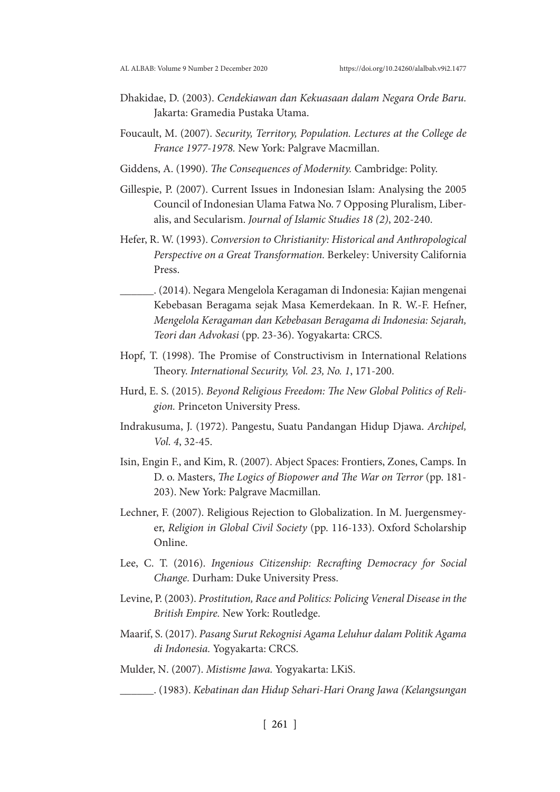- Dhakidae, D. (2003). *Cendekiawan dan Kekuasaan dalam Negara Orde Baru.* Jakarta: Gramedia Pustaka Utama.
- Foucault, M. (2007). *Security, Territory, Population. Lectures at the College de France 1977-1978.* New York: Palgrave Macmillan.
- Giddens, A. (1990). *The Consequences of Modernity.* Cambridge: Polity.
- Gillespie, P. (2007). Current Issues in Indonesian Islam: Analysing the 2005 Council of Indonesian Ulama Fatwa No. 7 Opposing Pluralism, Liberalis, and Secularism. *Journal of Islamic Studies 18 (2)*, 202-240.
- Hefer, R. W. (1993). *Conversion to Christianity: Historical and Anthropological Perspective on a Great Transformation.* Berkeley: University California Press.
- \_\_\_\_\_\_. (2014). Negara Mengelola Keragaman di Indonesia: Kajian mengenai Kebebasan Beragama sejak Masa Kemerdekaan. In R. W.-F. Hefner, *Mengelola Keragaman dan Kebebasan Beragama di Indonesia: Sejarah, Teori dan Advokasi* (pp. 23-36). Yogyakarta: CRCS.
- Hopf, T. (1998). The Promise of Constructivism in International Relations Theory. *International Security, Vol. 23, No. 1*, 171-200.
- Hurd, E. S. (2015). *Beyond Religious Freedom: The New Global Politics of Religion.* Princeton University Press.
- Indrakusuma, J. (1972). Pangestu, Suatu Pandangan Hidup Djawa. *Archipel, Vol. 4*, 32-45.
- Isin, Engin F., and Kim, R. (2007). Abject Spaces: Frontiers, Zones, Camps. In D. o. Masters, *The Logics of Biopower and The War on Terror* (pp. 181- 203). New York: Palgrave Macmillan.
- Lechner, F. (2007). Religious Rejection to Globalization. In M. Juergensmeyer, *Religion in Global Civil Society* (pp. 116-133). Oxford Scholarship Online.
- Lee, C. T. (2016). *Ingenious Citizenship: Recrafting Democracy for Social Change.* Durham: Duke University Press.
- Levine, P. (2003). *Prostitution, Race and Politics: Policing Veneral Disease in the British Empire.* New York: Routledge.
- Maarif, S. (2017). *Pasang Surut Rekognisi Agama Leluhur dalam Politik Agama di Indonesia.* Yogyakarta: CRCS.
- Mulder, N. (2007). *Mistisme Jawa.* Yogyakarta: LKiS.

\_\_\_\_\_\_. (1983). *Kebatinan dan Hidup Sehari-Hari Orang Jawa (Kelangsungan*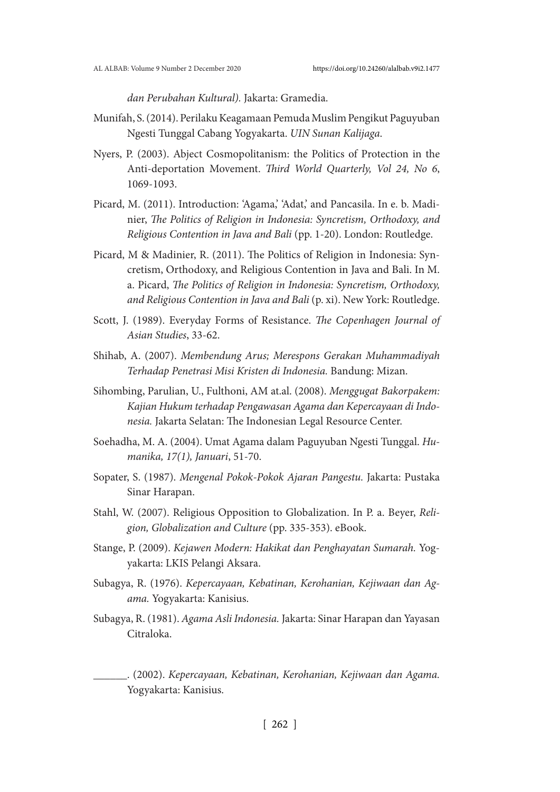*dan Perubahan Kultural).* Jakarta: Gramedia.

- Munifah, S. (2014). Perilaku Keagamaan Pemuda Muslim Pengikut Paguyuban Ngesti Tunggal Cabang Yogyakarta. *UIN Sunan Kalijaga*.
- Nyers, P. (2003). Abject Cosmopolitanism: the Politics of Protection in the Anti-deportation Movement. *Third World Quarterly, Vol 24, No 6*, 1069-1093.
- Picard, M. (2011). Introduction: 'Agama,' 'Adat,' and Pancasila. In e. b. Madinier, *The Politics of Religion in Indonesia: Syncretism, Orthodoxy, and Religious Contention in Java and Bali* (pp. 1-20). London: Routledge.
- Picard, M & Madinier, R. (2011). The Politics of Religion in Indonesia: Syncretism, Orthodoxy, and Religious Contention in Java and Bali. In M. a. Picard, *The Politics of Religion in Indonesia: Syncretism, Orthodoxy, and Religious Contention in Java and Bali* (p. xi). New York: Routledge.
- Scott, J. (1989). Everyday Forms of Resistance. *The Copenhagen Journal of Asian Studies*, 33-62.
- Shihab, A. (2007). *Membendung Arus; Merespons Gerakan Muhammadiyah Terhadap Penetrasi Misi Kristen di Indonesia.* Bandung: Mizan.
- Sihombing, Parulian, U., Fulthoni, AM at.al. (2008). *Menggugat Bakorpakem: Kajian Hukum terhadap Pengawasan Agama dan Kepercayaan di Indonesia.* Jakarta Selatan: The Indonesian Legal Resource Center.
- Soehadha, M. A. (2004). Umat Agama dalam Paguyuban Ngesti Tunggal. *Humanika, 17(1), Januari*, 51-70.
- Sopater, S. (1987). *Mengenal Pokok-Pokok Ajaran Pangestu.* Jakarta: Pustaka Sinar Harapan.
- Stahl, W. (2007). Religious Opposition to Globalization. In P. a. Beyer, *Religion, Globalization and Culture* (pp. 335-353). eBook.
- Stange, P. (2009). *Kejawen Modern: Hakikat dan Penghayatan Sumarah.* Yogyakarta: LKIS Pelangi Aksara.
- Subagya, R. (1976). *Kepercayaan, Kebatinan, Kerohanian, Kejiwaan dan Agama.* Yogyakarta: Kanisius.
- Subagya, R. (1981). *Agama Asli Indonesia.* Jakarta: Sinar Harapan dan Yayasan Citraloka.
	- \_\_\_\_\_\_. (2002). *Kepercayaan, Kebatinan, Kerohanian, Kejiwaan dan Agama.* Yogyakarta: Kanisius.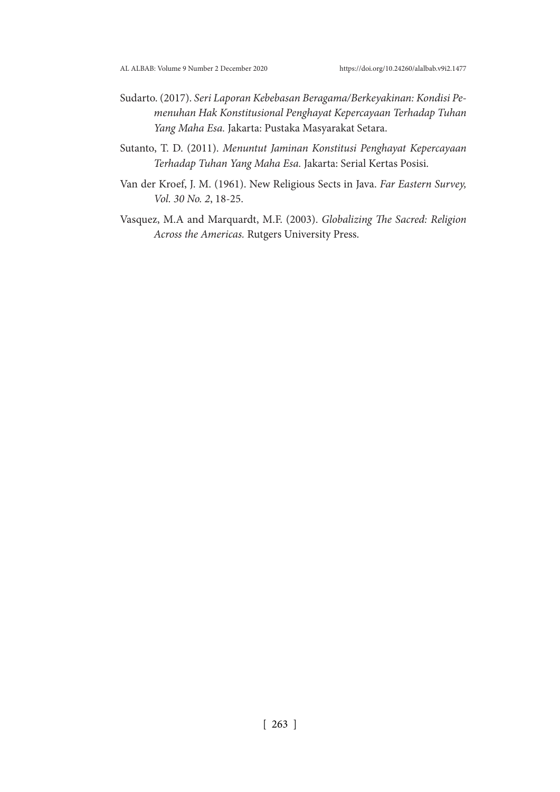- Sudarto. (2017). *Seri Laporan Kebebasan Beragama/Berkeyakinan: Kondisi Pemenuhan Hak Konstitusional Penghayat Kepercayaan Terhadap Tuhan Yang Maha Esa.* Jakarta: Pustaka Masyarakat Setara.
- Sutanto, T. D. (2011). *Menuntut Jaminan Konstitusi Penghayat Kepercayaan Terhadap Tuhan Yang Maha Esa.* Jakarta: Serial Kertas Posisi.
- Van der Kroef, J. M. (1961). New Religious Sects in Java. *Far Eastern Survey, Vol. 30 No. 2*, 18-25.
- Vasquez, M.A and Marquardt, M.F. (2003). *Globalizing The Sacred: Religion Across the Americas.* Rutgers University Press.